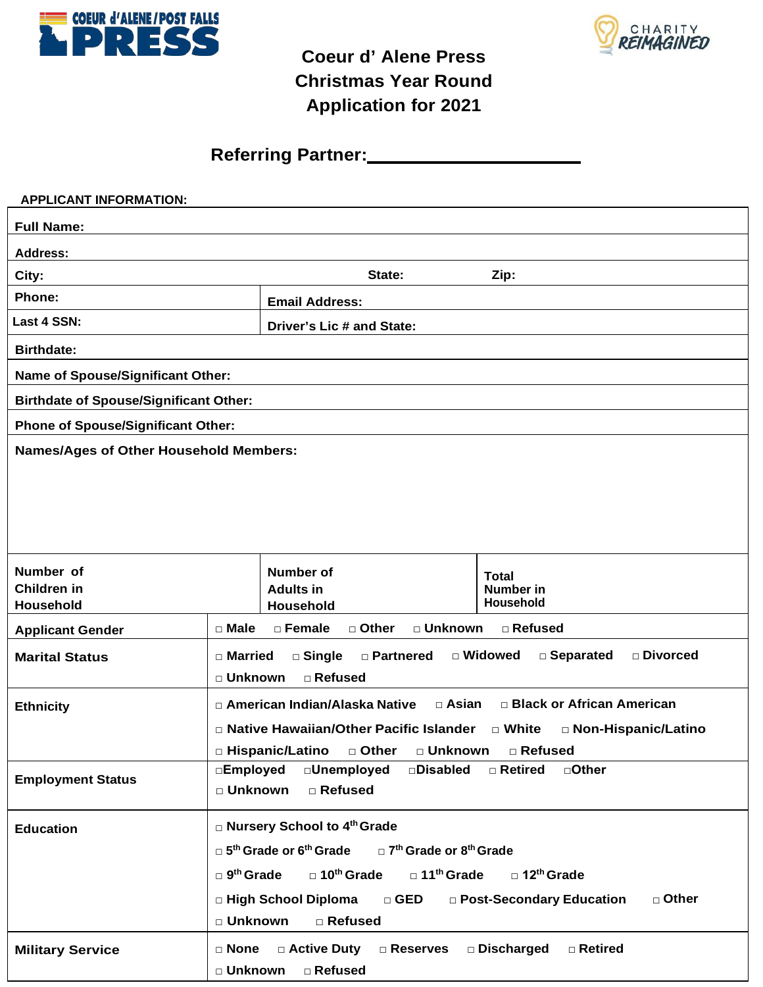



## **Coeur d' Alene Press Christmas Year Round Application for 2021**

**Referring Partner:**

| <b>APPLICANT INFORMATION:</b>                 |                                                                                                                                                                                                                                                                                                                                                                           |                                                                                                  |                               |  |  |
|-----------------------------------------------|---------------------------------------------------------------------------------------------------------------------------------------------------------------------------------------------------------------------------------------------------------------------------------------------------------------------------------------------------------------------------|--------------------------------------------------------------------------------------------------|-------------------------------|--|--|
| <b>Full Name:</b>                             |                                                                                                                                                                                                                                                                                                                                                                           |                                                                                                  |                               |  |  |
| <b>Address:</b>                               |                                                                                                                                                                                                                                                                                                                                                                           |                                                                                                  |                               |  |  |
| City:                                         |                                                                                                                                                                                                                                                                                                                                                                           | State:                                                                                           | Zip:                          |  |  |
| Phone:                                        |                                                                                                                                                                                                                                                                                                                                                                           | <b>Email Address:</b>                                                                            |                               |  |  |
| Last 4 SSN:                                   |                                                                                                                                                                                                                                                                                                                                                                           | Driver's Lic # and State:                                                                        |                               |  |  |
| <b>Birthdate:</b>                             |                                                                                                                                                                                                                                                                                                                                                                           |                                                                                                  |                               |  |  |
| Name of Spouse/Significant Other:             |                                                                                                                                                                                                                                                                                                                                                                           |                                                                                                  |                               |  |  |
| <b>Birthdate of Spouse/Significant Other:</b> |                                                                                                                                                                                                                                                                                                                                                                           |                                                                                                  |                               |  |  |
| <b>Phone of Spouse/Significant Other:</b>     |                                                                                                                                                                                                                                                                                                                                                                           |                                                                                                  |                               |  |  |
| <b>Names/Ages of Other Household Members:</b> |                                                                                                                                                                                                                                                                                                                                                                           |                                                                                                  |                               |  |  |
|                                               |                                                                                                                                                                                                                                                                                                                                                                           |                                                                                                  |                               |  |  |
|                                               |                                                                                                                                                                                                                                                                                                                                                                           |                                                                                                  |                               |  |  |
|                                               |                                                                                                                                                                                                                                                                                                                                                                           |                                                                                                  |                               |  |  |
|                                               |                                                                                                                                                                                                                                                                                                                                                                           |                                                                                                  |                               |  |  |
| Number of                                     |                                                                                                                                                                                                                                                                                                                                                                           | <b>Number of</b>                                                                                 | <b>Total</b>                  |  |  |
| Children in                                   |                                                                                                                                                                                                                                                                                                                                                                           | <b>Adults in</b><br>Household                                                                    | <b>Number</b> in<br>Household |  |  |
| Household                                     | $\Box$ Male                                                                                                                                                                                                                                                                                                                                                               | □ Female<br>□ Other<br>□ Unknown                                                                 | □ Refused                     |  |  |
| <b>Applicant Gender</b>                       |                                                                                                                                                                                                                                                                                                                                                                           |                                                                                                  |                               |  |  |
| <b>Marital Status</b>                         |                                                                                                                                                                                                                                                                                                                                                                           | □ Widowed<br>□ Separated<br>□ Divorced<br>□ Married<br>□ Single<br>□ Partnered                   |                               |  |  |
|                                               |                                                                                                                                                                                                                                                                                                                                                                           | □ Unknown<br>□ Refused<br>□ Black or African American<br>□ American Indian/Alaska Native □ Asian |                               |  |  |
| <b>Ethnicity</b>                              |                                                                                                                                                                                                                                                                                                                                                                           |                                                                                                  |                               |  |  |
|                                               | □ Native Hawaiian/Other Pacific Islander □ White<br>□ Non-Hispanic/Latino<br>□ Hispanic/Latino □ Other □ Unknown □ Refused                                                                                                                                                                                                                                                |                                                                                                  |                               |  |  |
|                                               |                                                                                                                                                                                                                                                                                                                                                                           | □Employed<br>□Unemployed<br>□ <b>Disabled</b><br>□Other<br>$\Box$ Retired                        |                               |  |  |
|                                               | □ Unknown<br>□ Refused                                                                                                                                                                                                                                                                                                                                                    |                                                                                                  |                               |  |  |
|                                               |                                                                                                                                                                                                                                                                                                                                                                           |                                                                                                  |                               |  |  |
|                                               |                                                                                                                                                                                                                                                                                                                                                                           |                                                                                                  |                               |  |  |
|                                               |                                                                                                                                                                                                                                                                                                                                                                           |                                                                                                  |                               |  |  |
|                                               |                                                                                                                                                                                                                                                                                                                                                                           |                                                                                                  |                               |  |  |
|                                               |                                                                                                                                                                                                                                                                                                                                                                           | □ Refused                                                                                        |                               |  |  |
|                                               |                                                                                                                                                                                                                                                                                                                                                                           |                                                                                                  |                               |  |  |
|                                               |                                                                                                                                                                                                                                                                                                                                                                           |                                                                                                  |                               |  |  |
| <b>Employment Status</b><br><b>Education</b>  | □ Nursery School to 4 <sup>th</sup> Grade<br>$\Box$ 5 <sup>th</sup> Grade or 6 <sup>th</sup> Grade $\Box$ 7 <sup>th</sup> Grade or 8 <sup>th</sup> Grade<br>$\square$ 10 <sup>th</sup> Grade<br>□ 11 <sup>th</sup> Grade<br>$\Box$ 9 <sup>th</sup> Grade<br>$\Box$ 12 <sup>th</sup> Grade<br>□ High School Diploma<br>$\Box$ GED<br>□ Other<br>□ Post-Secondary Education |                                                                                                  |                               |  |  |
|                                               |                                                                                                                                                                                                                                                                                                                                                                           |                                                                                                  |                               |  |  |
|                                               | □ Unknown                                                                                                                                                                                                                                                                                                                                                                 |                                                                                                  |                               |  |  |
| <b>Military Service</b>                       | □ Active Duty<br>Discharged<br>$\Box$ None<br>$\square$ Reserves<br>□ Retired                                                                                                                                                                                                                                                                                             |                                                                                                  |                               |  |  |
|                                               | □ Unknown<br>□ Refused                                                                                                                                                                                                                                                                                                                                                    |                                                                                                  |                               |  |  |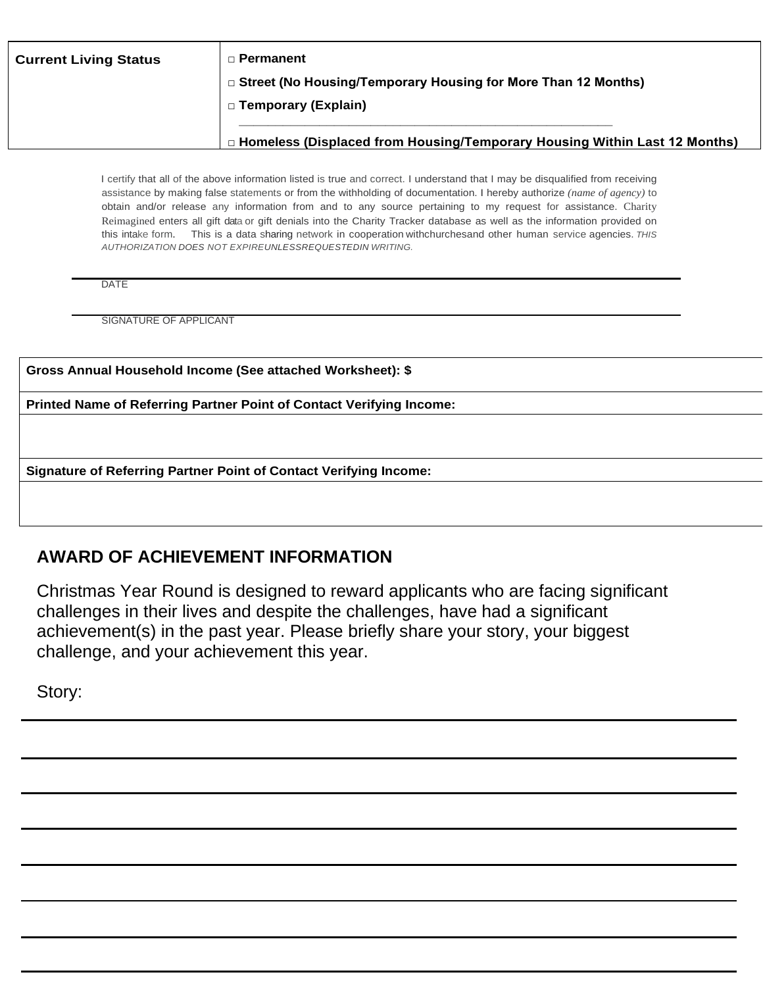| <b>Current Living Status</b> | □ Permanent                                                                      |
|------------------------------|----------------------------------------------------------------------------------|
|                              | □ Street (No Housing/Temporary Housing for More Than 12 Months)                  |
|                              | □ Temporary (Explain)                                                            |
|                              |                                                                                  |
|                              | $\Box$ Homeless (Displaced from Housing/Temporary Housing Within Last 12 Months) |

I certify that all of the above information listed is true and correct. I understand that I may be disqualified from receiving assistance by making false statements or from the withholding of documentation. I hereby authorize *(name of agency)* to obtain and/or release any information from and to any source pertaining to my request for assistance. Charity Reimagined enters all gift data or gift denials into the Charity Tracker database as well as the information provided on this intake form. This is a data sharing network in cooperation withchurchesand other human service agencies. *THIS AUTHORIZATION DOES NOT EXPIREUNLESSREQUESTEDIN WRITING.*

DATE

SIGNATURE OF APPLICANT

**Gross Annual Household Income (See attached Worksheet): \$**

**Printed Name of Referring Partner Point of Contact Verifying Income:**

**Signature of Referring Partner Point of Contact Verifying Income:**

## **AWARD OF ACHIEVEMENT INFORMATION**

Christmas Year Round is designed to reward applicants who are facing significant challenges in their lives and despite the challenges, have had a significant achievement(s) in the past year. Please briefly share your story, your biggest challenge, and your achievement this year.

Story: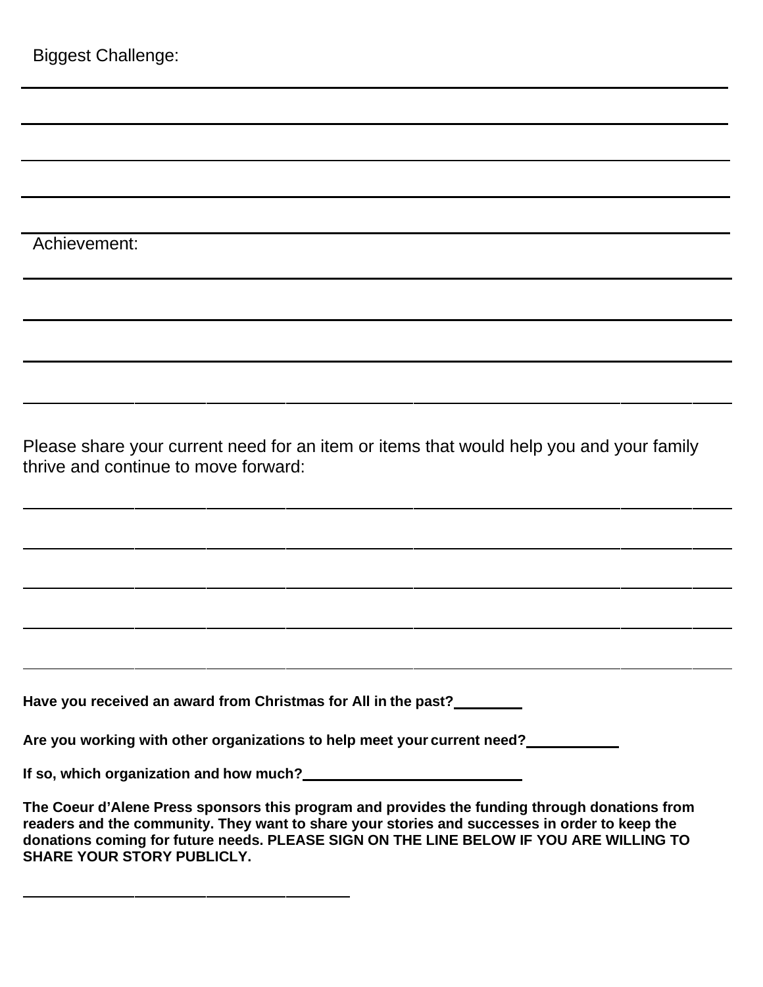| <b>Biggest Challenge:</b>                                                                                                       |  |  |  |
|---------------------------------------------------------------------------------------------------------------------------------|--|--|--|
|                                                                                                                                 |  |  |  |
|                                                                                                                                 |  |  |  |
|                                                                                                                                 |  |  |  |
|                                                                                                                                 |  |  |  |
| Achievement:                                                                                                                    |  |  |  |
|                                                                                                                                 |  |  |  |
|                                                                                                                                 |  |  |  |
|                                                                                                                                 |  |  |  |
| Please share your current need for an item or items that would help you and your family<br>thrive and continue to move forward: |  |  |  |
|                                                                                                                                 |  |  |  |
|                                                                                                                                 |  |  |  |
|                                                                                                                                 |  |  |  |
|                                                                                                                                 |  |  |  |
| Have you received an award from Christmas for All in the past?                                                                  |  |  |  |
| Are you working with other organizations to help meet your current need?                                                        |  |  |  |
|                                                                                                                                 |  |  |  |

| The Coeur d'Alene Press sponsors this program and provides the funding through donations from |
|-----------------------------------------------------------------------------------------------|
| readers and the community. They want to share your stories and successes in order to keep the |
| donations coming for future needs. PLEASE SIGN ON THE LINE BELOW IF YOU ARE WILLING TO        |
| <b>SHARE YOUR STORY PUBLICLY.</b>                                                             |